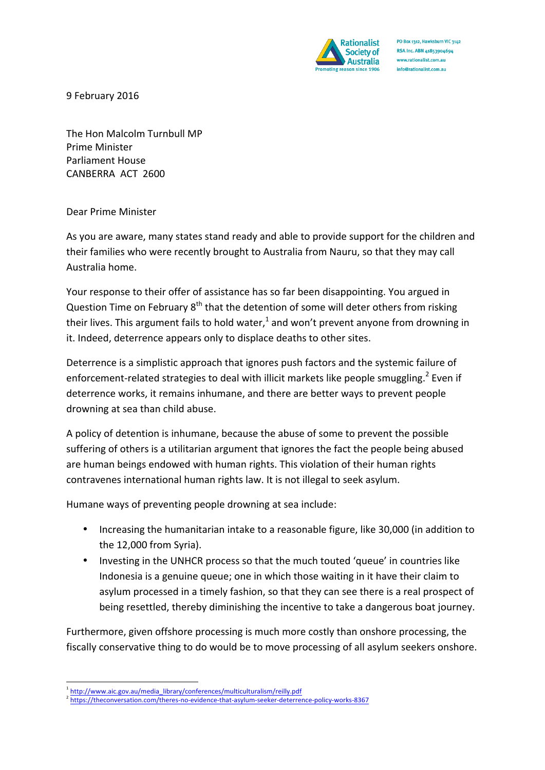

PO Box 1312, Hawksburn VIC 3142 RSA Inc. ABN 41853904694 www.rationalist.com.au info@rationalist.com.au

9 February 2016

The Hon Malcolm Turnbull MP Prime Minister Parliament House CANBERRA ACT 2600

Dear Prime Minister

As you are aware, many states stand ready and able to provide support for the children and their families who were recently brought to Australia from Nauru, so that they may call Australia home.

Your response to their offer of assistance has so far been disappointing. You argued in Question Time on February  $8<sup>th</sup>$  that the detention of some will deter others from risking their lives. This argument fails to hold water,<sup>1</sup> and won't prevent anyone from drowning in it. Indeed, deterrence appears only to displace deaths to other sites.

Deterrence is a simplistic approach that ignores push factors and the systemic failure of enforcement-related strategies to deal with illicit markets like people smuggling.<sup>2</sup> Even if deterrence works, it remains inhumane, and there are better ways to prevent people drowning at sea than child abuse.

A policy of detention is inhumane, because the abuse of some to prevent the possible suffering of others is a utilitarian argument that ignores the fact the people being abused are human beings endowed with human rights. This violation of their human rights contravenes international human rights law. It is not illegal to seek asylum.

Humane ways of preventing people drowning at sea include:

- Increasing the humanitarian intake to a reasonable figure, like 30,000 (in addition to the 12,000 from Syria).
- Investing in the UNHCR process so that the much touted 'queue' in countries like Indonesia is a genuine queue; one in which those waiting in it have their claim to asylum processed in a timely fashion, so that they can see there is a real prospect of being resettled, thereby diminishing the incentive to take a dangerous boat journey.

Furthermore, given offshore processing is much more costly than onshore processing, the fiscally conservative thing to do would be to move processing of all asylum seekers onshore.

<u> 1989 - Jan Samuel Barbara, margaret e</u>

<sup>1</sup> http://www.aic.gov.au/media\_library/conferences/multiculturalism/reilly.pdf

<sup>2</sup> https://theconversation.com/theres-no-evidence-that-asylum-seeker-deterrence-policy-works-8367